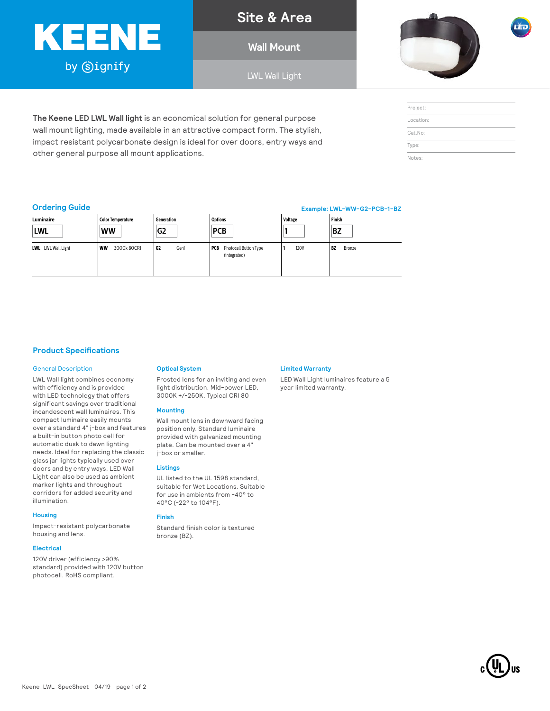# KEENE by Signify

other general purpose all mount applications.

**Site & Area**

**Wall Mount**

LWL Wall Light



| Project:  |  |
|-----------|--|
| Location: |  |
| Cat.No:   |  |
| Type:     |  |
| Notes:    |  |

# **Ordering Guide**

**Example: LWL-WW-G2-PCB-1-BZ**

| Luminaire                 | Color Temperature       | Generation | <b>Options</b>                               | Voltage     | Finish              |
|---------------------------|-------------------------|------------|----------------------------------------------|-------------|---------------------|
| <b>LWL</b>                | <b>WW</b>               | G2         | <b>PCB</b>                                   |             | <b>BZ</b>           |
| <b>LWL</b> LWL Wall Light | 3000k80CRI<br><b>WW</b> | G2<br>Gen1 | Photocell Button Type<br>PCB<br>(integrated) | <b>120V</b> | <b>BZ</b><br>Bronze |

# **Product Specifications**

### General Description

LWL Wall light combines economy with efficiency and is provided with LED technology that offers significant savings over traditional incandescent wall luminaires. This compact luminaire easily mounts over a standard 4" j-box and features a built-in button photo cell for automatic dusk to dawn lighting needs. Ideal for replacing the classic glass jar lights typically used over doors and by entry ways, LED Wall Light can also be used as ambient marker lights and throughout corridors for added security and illumination.

### **Housing**

Impact-resistant polycarbonate housing and lens.

#### **Electrical**

120V driver (efficiency >90% standard) provided with 120V button photocell. RoHS compliant.

# **Optical System**

**The Keene LED LWL Wall light** is an economical solution for general purpose wall mount lighting, made available in an attractive compact form. The stylish, impact resistant polycarbonate design is ideal for over doors, entry ways and

> Frosted lens for an inviting and even light distribution. Mid-power LED, 3000K +/-250K. Typical CRI 80

#### **Mounting**

Wall mount lens in downward facing position only. Standard luminaire provided with galvanized mounting plate. Can be mounted over a 4" j-box or smaller.

## **Listings**

UL listed to the UL 1598 standard, suitable for Wet Locations. Suitable for use in ambients from -40° to 40°C (-22° to 104°F).

# **Finish**

Standard finish color is textured bronze (BZ).

## **Limited Warranty**

LED Wall Light luminaires feature a 5 year limited warranty.